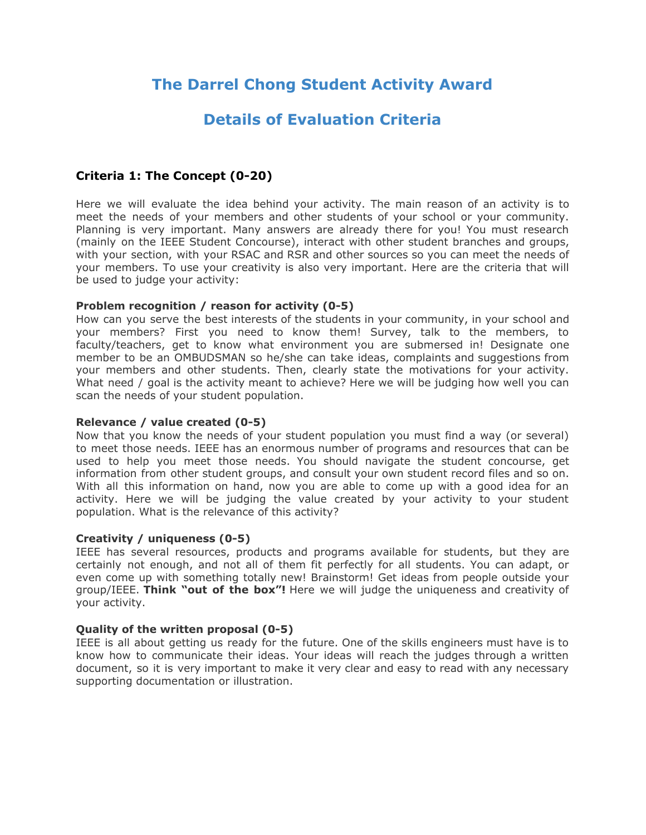# **The Darrel Chong Student Activity Award**

# **Details of Evaluation Criteria**

# **Criteria 1: The Concept (0-20)**

Here we will evaluate the idea behind your activity. The main reason of an activity is to meet the needs of your members and other students of your school or your community. Planning is very important. Many answers are already there for you! You must research (mainly on the IEEE Student Concourse), interact with other student branches and groups, with your section, with your RSAC and RSR and other sources so you can meet the needs of your members. To use your creativity is also very important. Here are the criteria that will be used to judge your activity:

### **Problem recognition / reason for activity (0-5)**

How can you serve the best interests of the students in your community, in your school and your members? First you need to know them! Survey, talk to the members, to faculty/teachers, get to know what environment you are submersed in! Designate one member to be an OMBUDSMAN so he/she can take ideas, complaints and suggestions from your members and other students. Then, clearly state the motivations for your activity. What need / goal is the activity meant to achieve? Here we will be judging how well you can scan the needs of your student population.

### **Relevance / value created (0-5)**

Now that you know the needs of your student population you must find a way (or several) to meet those needs. IEEE has an enormous number of programs and resources that can be used to help you meet those needs. You should navigate the student concourse, get information from other student groups, and consult your own student record files and so on. With all this information on hand, now you are able to come up with a good idea for an activity. Here we will be judging the value created by your activity to your student population. What is the relevance of this activity?

### **Creativity / uniqueness (0-5)**

IEEE has several resources, products and programs available for students, but they are certainly not enough, and not all of them fit perfectly for all students. You can adapt, or even come up with something totally new! Brainstorm! Get ideas from people outside your group/IEEE. **Think "out of the box"!** Here we will judge the uniqueness and creativity of your activity.

### **Quality of the written proposal (0-5)**

IEEE is all about getting us ready for the future. One of the skills engineers must have is to know how to communicate their ideas. Your ideas will reach the judges through a written document, so it is very important to make it very clear and easy to read with any necessary supporting documentation or illustration.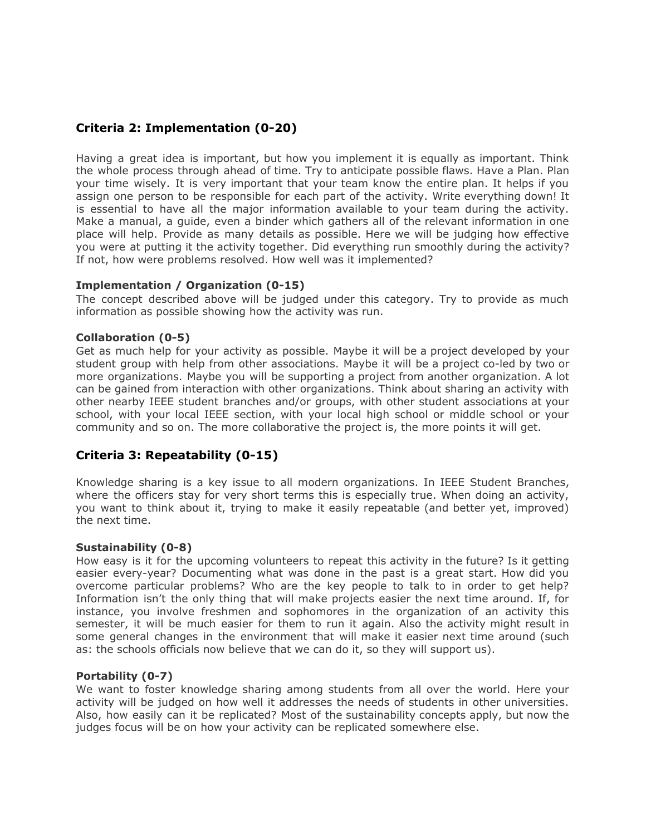# **Criteria 2: Implementation (0-20)**

Having a great idea is important, but how you implement it is equally as important. Think the whole process through ahead of time. Try to anticipate possible flaws. Have a Plan. Plan your time wisely. It is very important that your team know the entire plan. It helps if you assign one person to be responsible for each part of the activity. Write everything down! It is essential to have all the major information available to your team during the activity. Make a manual, a guide, even a binder which gathers all of the relevant information in one place will help. Provide as many details as possible. Here we will be judging how effective you were at putting it the activity together. Did everything run smoothly during the activity? If not, how were problems resolved. How well was it implemented?

### **Implementation / Organization (0-15)**

The concept described above will be judged under this category. Try to provide as much information as possible showing how the activity was run.

### **Collaboration (0-5)**

Get as much help for your activity as possible. Maybe it will be a project developed by your student group with help from other associations. Maybe it will be a project co-led by two or more organizations. Maybe you will be supporting a project from another organization. A lot can be gained from interaction with other organizations. Think about sharing an activity with other nearby IEEE student branches and/or groups, with other student associations at your school, with your local IEEE section, with your local high school or middle school or your community and so on. The more collaborative the project is, the more points it will get.

## **Criteria 3: Repeatability (0-15)**

Knowledge sharing is a key issue to all modern organizations. In IEEE Student Branches, where the officers stay for very short terms this is especially true. When doing an activity, you want to think about it, trying to make it easily repeatable (and better yet, improved) the next time.

### **Sustainability (0-8)**

How easy is it for the upcoming volunteers to repeat this activity in the future? Is it getting easier every-year? Documenting what was done in the past is a great start. How did you overcome particular problems? Who are the key people to talk to in order to get help? Information isn't the only thing that will make projects easier the next time around. If, for instance, you involve freshmen and sophomores in the organization of an activity this semester, it will be much easier for them to run it again. Also the activity might result in some general changes in the environment that will make it easier next time around (such as: the schools officials now believe that we can do it, so they will support us).

### **Portability (0-7)**

We want to foster knowledge sharing among students from all over the world. Here your activity will be judged on how well it addresses the needs of students in other universities. Also, how easily can it be replicated? Most of the sustainability concepts apply, but now the judges focus will be on how your activity can be replicated somewhere else.